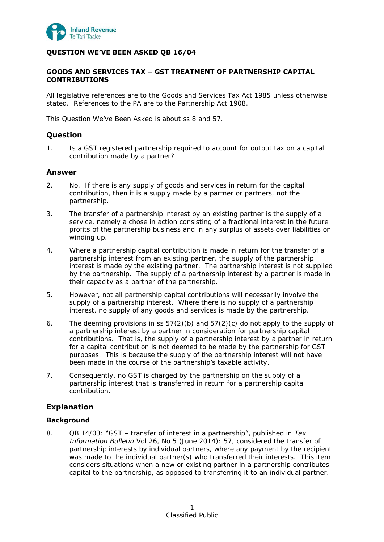

# **QUESTION WE'VE BEEN ASKED QB 16/04**

# **GOODS AND SERVICES TAX – GST TREATMENT OF PARTNERSHIP CAPITAL CONTRIBUTIONS**

All legislative references are to the Goods and Services Tax Act 1985 unless otherwise stated. References to the PA are to the Partnership Act 1908.

This Question We've Been Asked is about ss 8 and 57.

# **Question**

1. Is a GST registered partnership required to account for output tax on a capital contribution made by a partner?

# **Answer**

- 2. No. If there is any supply of goods and services in return for the capital contribution, then it is a supply made by a partner or partners, not the partnership.
- 3. The transfer of a partnership interest by an existing partner is the supply of a service, namely a chose in action consisting of a fractional interest in the future profits of the partnership business and in any surplus of assets over liabilities on winding up.
- 4. Where a partnership capital contribution is made in return for the transfer of a partnership interest from an existing partner, the supply of the partnership interest is made by the existing partner. The partnership interest is not supplied by the partnership. The supply of a partnership interest by a partner is made in their capacity as a partner of the partnership.
- 5. However, not all partnership capital contributions will necessarily involve the supply of a partnership interest. Where there is no supply of a partnership interest, no supply of any goods and services is made by the partnership.
- 6. The deeming provisions in ss  $57(2)(b)$  and  $57(2)(c)$  do not apply to the supply of a partnership interest by a partner in consideration for partnership capital contributions. That is, the supply of a partnership interest by a partner in return for a capital contribution is not deemed to be made by the partnership for GST purposes. This is because the supply of the partnership interest will not have been made in the course of the partnership's taxable activity.
- 7. Consequently, no GST is charged by the partnership on the supply of a partnership interest that is transferred in return for a partnership capital contribution.

# **Explanation**

# **Background**

8. QB 14/03: "GST – transfer of interest in a partnership", published in *Tax Information Bulletin* Vol 26, No 5 (June 2014): 57, considered the transfer of partnership interests by individual partners, where any payment by the recipient was made to the individual partner(s) who transferred their interests. This item considers situations when a new or existing partner in a partnership contributes capital to the partnership, as opposed to transferring it to an individual partner.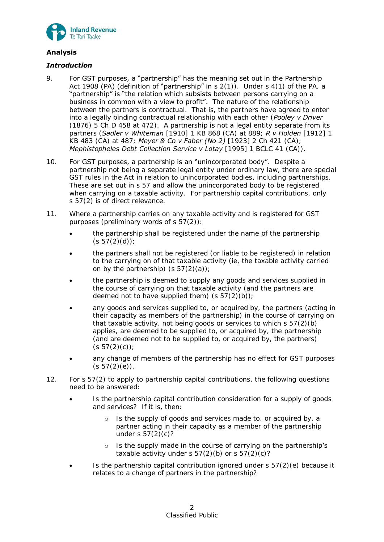

# **Analysis**

# *Introduction*

- 9. For GST purposes, a "partnership" has the meaning set out in the Partnership Act 1908 (PA) (definition of "partnership" in  $s$  2(1)). Under  $s$  4(1) of the PA, a "partnership" is "the relation which subsists between persons carrying on a business in common with a view to profit". The nature of the relationship between the partners is contractual. That is, the partners have agreed to enter into a legally binding contractual relationship with each other (*Pooley v Driver* (1876) 5 Ch D 458 at 472). A partnership is not a legal entity separate from its partners (*Sadler v Whiteman* [1910] 1 KB 868 (CA) at 889; *R v Holden* [1912] 1 KB 483 (CA) at 487; *Meyer & Co v Faber (No 2)* [1923] 2 Ch 421 (CA); *Mephistopheles Debt Collection Service v Lotay* [1995] 1 BCLC 41 (CA)).
- 10. For GST purposes, a partnership is an "unincorporated body". Despite a partnership not being a separate legal entity under ordinary law, there are special GST rules in the Act in relation to unincorporated bodies, including partnerships. These are set out in s 57 and allow the unincorporated body to be registered when carrying on a taxable activity. For partnership capital contributions, only s 57(2) is of direct relevance.
- 11. Where a partnership carries on any taxable activity and is registered for GST purposes (preliminary words of s 57(2)):
	- the partnership shall be registered under the name of the partnership  $(s 57(2)(d))$ ;
	- the partners shall not be registered (or liable to be registered) in relation to the carrying on of that taxable activity (ie, the taxable activity carried on by the partnership)  $(s 57(2)(a))$ ;
	- the partnership is deemed to supply any goods and services supplied in the course of carrying on that taxable activity (and the partners are deemed not to have supplied them)  $(s 57(2)(b))$ ;
	- any goods and services supplied to, or acquired by, the partners (acting in their capacity as members of the partnership) in the course of carrying on that taxable activity, not being goods or services to which  $s 57(2)(b)$ applies, are deemed to be supplied to, or acquired by, the partnership (and are deemed not to be supplied to, or acquired by, the partners)  $(s 57(2)(c))$ ;
	- any change of members of the partnership has no effect for GST purposes  $(s 57(2)(e))$ .
- 12. For s 57(2) to apply to partnership capital contributions, the following questions need to be answered:
	- Is the partnership capital contribution consideration for a supply of goods and services? If it is, then:
		- o Is the supply of goods and services made to, or acquired by, a partner acting in their capacity as a member of the partnership under s  $57(2)(c)$ ?
		- o Is the supply made in the course of carrying on the partnership's taxable activity under s  $57(2)(b)$  or s  $57(2)(c)?$
	- Is the partnership capital contribution ignored under s 57(2)(e) because it relates to a change of partners in the partnership?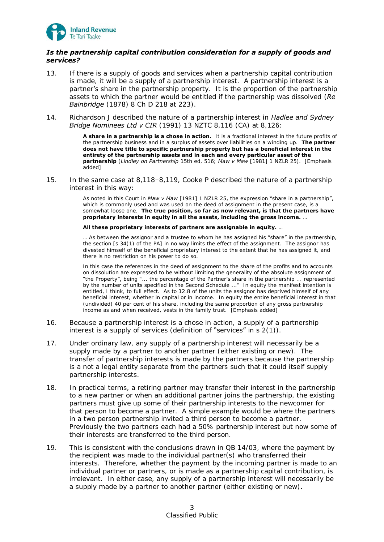

# *Is the partnership capital contribution consideration for a supply of goods and services?*

- 13. If there is a supply of goods and services when a partnership capital contribution is made, it will be a supply of a partnership interest. A partnership interest is a partner's share in the partnership property. It is the proportion of the partnership assets to which the partner would be entitled if the partnership was dissolved (*Re Bainbridge* (1878) 8 Ch D 218 at 223).
- 14. Richardson J described the nature of a partnership interest in *Hadlee and Sydney Bridge Nominees Ltd v CIR* (1991) 13 NZTC 8,116 (CA) at 8,126:

A share in a partnership is a chose in action. It is a fractional interest in the future profits of the partnership business and in a surplus of assets over liabilities on a winding up. **The partner does not have title to specific partnership property but has a beneficial interest in the entirety of the partnership assets and in each and every particular asset of the partnership** (*Lindley on Partnership* 15th ed, 516; *Maw v Maw* [1981] 1 NZLR 25). [Emphasis added]

15. In the same case at 8,118–8,119, Cooke P described the nature of a partnership interest in this way:

> As noted in this Court in *Maw v Maw* [1981] 1 NZLR 25, the expression "share in a partnership", which is commonly used and was used on the deed of assignment in the present case, is a somewhat loose one. **The true position, so far as now relevant, is that the partners have proprietary interests in equity in all the assets, including the gross income.** …

#### **All these proprietary interests of partners are assignable in equity.** …

… As between the assignor and a trustee to whom he has assigned his "share" in the partnership, the section [s 34(1) of the PA] in no way limits the effect of the assignment. The assignor has divested himself of the beneficial proprietary interest to the extent that he has assigned it, and there is no restriction on his power to do so.

In this case the references in the deed of assignment to the share of the profits and to accounts on dissolution are expressed to be without limiting the generality of the absolute assignment of "the Property", being "... the percentage of the Partner's share in the partnership ... represented by the number of units specified in the Second Schedule ..." In equity the manifest intention is entitled, I think, to full effect. As to 12.8 of the units the assignor has deprived himself of any beneficial interest, whether in capital or in income. In equity the entire beneficial interest in that (undivided) 40 per cent of his share, including the same proportion of any gross partnership income as and when received, vests in the family trust. [Emphasis added]

- 16. Because a partnership interest is a chose in action, a supply of a partnership interest is a supply of services (definition of "services" in s 2(1)).
- 17. Under ordinary law, any supply of a partnership interest will necessarily be a supply made by a partner to another partner (either existing or new). The transfer of partnership interests is made by the partners because the partnership is a not a legal entity separate from the partners such that it could itself supply partnership interests.
- 18. In practical terms, a retiring partner may transfer their interest in the partnership to a new partner or when an additional partner joins the partnership, the existing partners must give up some of their partnership interests to the newcomer for that person to become a partner. A simple example would be where the partners in a two person partnership invited a third person to become a partner. Previously the two partners each had a 50% partnership interest but now some of their interests are transferred to the third person.
- 19. This is consistent with the conclusions drawn in QB 14/03, where the payment by the recipient was made to the individual partner(s) who transferred their interests. Therefore, whether the payment by the incoming partner is made to an individual partner or partners, or is made as a partnership capital contribution, is irrelevant. In either case, any supply of a partnership interest will necessarily be a supply made by a partner to another partner (either existing or new).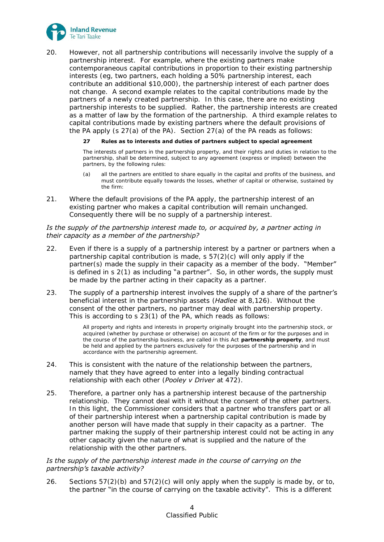

20. However, not all partnership contributions will necessarily involve the supply of a partnership interest. For example, where the existing partners make contemporaneous capital contributions in proportion to their existing partnership interests (eg, two partners, each holding a 50% partnership interest, each contribute an additional \$10,000), the partnership interest of each partner does not change. A second example relates to the capital contributions made by the partners of a newly created partnership. In this case, there are no existing partnership interests to be supplied. Rather, the partnership interests are created as a matter of law by the formation of the partnership. A third example relates to capital contributions made by existing partners where the default provisions of the PA apply (s  $27(a)$  of the PA). Section  $27(a)$  of the PA reads as follows:

### **27 Rules as to interests and duties of partners subject to special agreement**

The interests of partners in the partnership property, and their rights and duties in relation to the partnership, shall be determined, subject to any agreement (express or implied) between the partners, by the following rules:

- (a) all the partners are entitled to share equally in the capital and profits of the business, and must contribute equally towards the losses, whether of capital or otherwise, sustained by the firm:
- 21. Where the default provisions of the PA apply, the partnership interest of an existing partner who makes a capital contribution will remain unchanged. Consequently there will be no supply of a partnership interest.

### *Is the supply of the partnership interest made to, or acquired by, a partner acting in their capacity as a member of the partnership?*

- 22. Even if there is a supply of a partnership interest by a partner or partners when a partnership capital contribution is made, s 57(2)(c) will only apply if the partner(s) made the supply in their capacity as a member of the body. "Member" is defined in  $s \, 2(1)$  as including "a partner". So, in other words, the supply must be made by the partner acting in their capacity as a partner.
- 23. The supply of a partnership interest involves the supply of a share of the partner's beneficial interest in the partnership assets (*Hadlee* at 8,126). Without the consent of the other partners, no partner may deal with partnership property. This is according to s 23(1) of the PA, which reads as follows:

All property and rights and interests in property originally brought into the partnership stock, or acquired (whether by purchase or otherwise) on account of the firm or for the purposes and in the course of the partnership business, are called in this Act **partnership property**, and must be held and applied by the partners exclusively for the purposes of the partnership and in accordance with the partnership agreement.

- 24. This is consistent with the nature of the relationship between the partners, namely that they have agreed to enter into a legally binding contractual relationship with each other (*Pooley v Driver* at 472).
- 25. Therefore, a partner only has a partnership interest because of the partnership relationship. They cannot deal with it without the consent of the other partners. In this light, the Commissioner considers that a partner who transfers part or all of their partnership interest when a partnership capital contribution is made by another person will have made that supply in their capacity as a partner. The partner making the supply of their partnership interest could not be acting in any other capacity given the nature of what is supplied and the nature of the relationship with the other partners.

### *Is the supply of the partnership interest made in the course of carrying on the partnership's taxable activity?*

<span id="page-3-0"></span>26. Sections  $57(2)(b)$  and  $57(2)(c)$  will only apply when the supply is made by, or to, the partner "in the course of carrying on the taxable activity". This is a different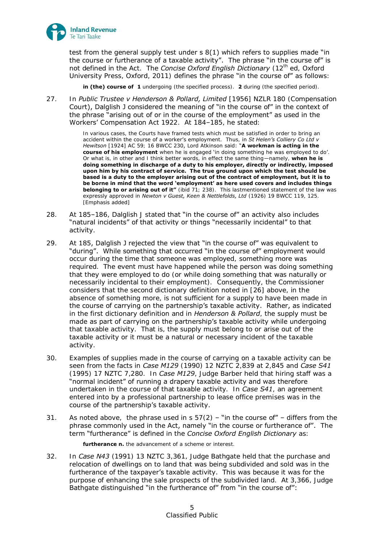

test from the general supply test under s 8(1) which refers to supplies made "in the course or furtherance of a taxable activity". The phrase "in the course of" is not defined in the Act. The *Concise Oxford English Dictionary* (12th ed, Oxford University Press, Oxford, 2011) defines the phrase "in the course of" as follows:

**in (the) course of 1** undergoing (the specified process). **2** during (the specified period).

27. In *Public Trustee v Henderson & Pollard, Limited* [1956] NZLR 180 (Compensation Court), Dalglish J considered the meaning of "in the course of" in the context of the phrase "arising out of or in the course of the employment" as used in the Workers' Compensation Act 1922. At 184–185, he stated:

> In various cases, the Courts have framed tests which must be satisfied in order to bring an accident within the course of a worker's employment. Thus, in *St Helen's Colliery Co Ltd v Hewitson* [1924] AC 59; 16 BWCC 230, Lord Atkinson said: "**A workman is acting in the course of his employment** when he is engaged 'in doing something he was employed to do'. Or what is, in other and I think better words, in effect the same thing—namely, **when he is doing something in discharge of a duty to his employer, directly or indirectly, imposed upon him by his contract of service. The true ground upon which the test should be based is a duty to the employer arising out of the contract of employment, but it is to be borne in mind that the word 'employment' as here used covers and includes things belonging to or arising out of it"** (ibid 71; 238). This lastmentioned statement of the law was expressly approved in *Newton v Guest, Keen & Nettlefolds, Ltd* (1926) 19 BWCC 119, 125. [Emphasis added]

- 28. At 185-186, Dalglish J stated that "in the course of" an activity also includes "natural incidents" of that activity or things "necessarily incidental" to that activity.
- 29. At 185, Dalglish J rejected the view that "in the course of" was equivalent to "during". While something that occurred "in the course of" employment would occur during the time that someone was employed, something more was required. The event must have happened while the person was doing something that they were employed to do (or while doing something that was naturally or necessarily incidental to their employment). Consequently, the Commissioner considers that the second dictionary definition noted in [\[26\]](#page-3-0) above, in the absence of something more, is not sufficient for a supply to have been made in the course of carrying on the partnership's taxable activity. Rather, as indicated in the first dictionary definition and in *Henderson & Pollard*, the supply must be made as part of carrying on the partnership's taxable activity while undergoing that taxable activity. That is, the supply must belong to or arise out of the taxable activity or it must be a natural or necessary incident of the taxable activity.
- 30. Examples of supplies made in the course of carrying on a taxable activity can be seen from the facts in *Case M129* (1990) 12 NZTC 2,839 at 2,845 and *Case S41* (1995) 17 NZTC 7,280. In *Case M129*, Judge Barber held that hiring staff was a "normal incident" of running a drapery taxable activity and was therefore undertaken in the course of that taxable activity. In *Case S41*, an agreement entered into by a professional partnership to lease office premises was in the course of the partnership's taxable activity.
- 31. As noted above, the phrase used in s  $57(2)$  "in the course of" differs from the phrase commonly used in the Act, namely "in the course or furtherance of". The term "furtherance" is defined in the *Concise Oxford English Dictionary* as:

**furtherance n.** the advancement of a scheme or interest.

32. In *Case N43* (1991) 13 NZTC 3,361, Judge Bathgate held that the purchase and relocation of dwellings on to land that was being subdivided and sold was in the furtherance of the taxpayer's taxable activity. This was because it was for the purpose of enhancing the sale prospects of the subdivided land. At 3,366, Judge Bathgate distinguished "in the furtherance of" from "in the course of":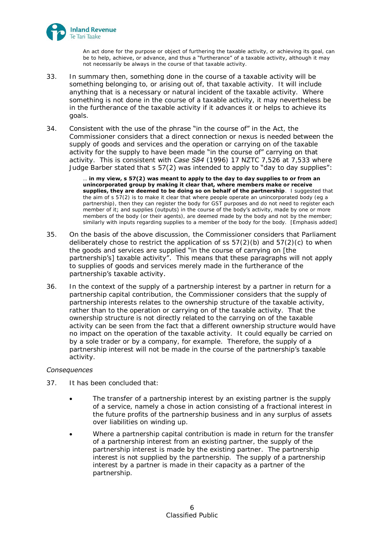

An act done for the purpose or object of furthering the taxable activity, or achieving its goal, can be to help, achieve, or advance, and thus a "furtherance" of a taxable activity, although it may not necessarily be always in the course of that taxable activity.

- 33. In summary then, something done in the course of a taxable activity will be something belonging to, or arising out of, that taxable activity. It will include anything that is a necessary or natural incident of the taxable activity. Where something is not done in the course of a taxable activity, it may nevertheless be in the furtherance of the taxable activity if it advances it or helps to achieve its goals.
- 34. Consistent with the use of the phrase "in the course of" in the Act, the Commissioner considers that a direct connection or nexus is needed between the supply of goods and services and the operation or carrying on of the taxable activity for the supply to have been made "in the course of" carrying on that activity. This is consistent with *Case S84* (1996) 17 NZTC 7,526 at 7,533 where Judge Barber stated that s 57(2) was intended to apply to "day to day supplies":

… **in my view, s 57(2) was meant to apply to the day to day supplies to or from an unincorporated group by making it clear that, where members make or receive supplies, they are deemed to be doing so on behalf of the partnership**. I suggested that the aim of s 57(2) is to make it clear that where people operate an unincorporated body (eg a partnership), then they can register the body for GST purposes and do not need to register each member of it; and supplies (outputs) in the course of the body's activity, made by one or more members of the body (or their agents), are deemed made by the body and not by the member; similarly with inputs regarding supplies to a member of the body for the body. [Emphasis added]

- 35. On the basis of the above discussion, the Commissioner considers that Parliament deliberately chose to restrict the application of ss  $57(2)(b)$  and  $57(2)(c)$  to when the goods and services are supplied "in the course of carrying on [the partnership's] taxable activity". This means that these paragraphs will not apply to supplies of goods and services merely made in the furtherance of the partnership's taxable activity.
- 36. In the context of the supply of a partnership interest by a partner in return for a partnership capital contribution, the Commissioner considers that the supply of partnership interests relates to the ownership structure of the taxable activity, rather than to the operation or carrying on of the taxable activity. That the ownership structure is not directly related to the carrying on of the taxable activity can be seen from the fact that a different ownership structure would have no impact on the operation of the taxable activity. It could equally be carried on by a sole trader or by a company, for example. Therefore, the supply of a partnership interest will not be made in the course of the partnership's taxable activity.

### *Consequences*

- 37. It has been concluded that:
	- The transfer of a partnership interest by an existing partner is the supply of a service, namely a chose in action consisting of a fractional interest in the future profits of the partnership business and in any surplus of assets over liabilities on winding up.
	- Where a partnership capital contribution is made in return for the transfer of a partnership interest from an existing partner, the supply of the partnership interest is made by the existing partner. The partnership interest is not supplied by the partnership. The supply of a partnership interest by a partner is made in their capacity as a partner of the partnership.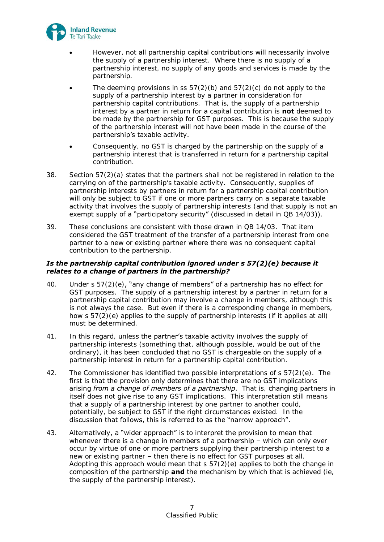

- However, not all partnership capital contributions will necessarily involve the supply of a partnership interest. Where there is no supply of a partnership interest, no supply of any goods and services is made by the partnership.
- The deeming provisions in ss  $57(2)(b)$  and  $57(2)(c)$  do not apply to the supply of a partnership interest by a partner in consideration for partnership capital contributions. That is, the supply of a partnership interest by a partner in return for a capital contribution is **not** deemed to be made by the partnership for GST purposes. This is because the supply of the partnership interest will not have been made in the course of the partnership's taxable activity.
- Consequently, no GST is charged by the partnership on the supply of a partnership interest that is transferred in return for a partnership capital contribution.
- 38. Section 57(2)(a) states that the partners shall not be registered in relation to the carrying on of the partnership's taxable activity. Consequently, supplies of partnership interests by partners in return for a partnership capital contribution will only be subject to GST if one or more partners carry on a separate taxable activity that involves the supply of partnership interests (and that supply is not an exempt supply of a "participatory security" (discussed in detail in QB 14/03)).
- 39. These conclusions are consistent with those drawn in QB 14/03. That item considered the GST treatment of the transfer of a partnership interest from one partner to a new or existing partner where there was no consequent capital contribution to the partnership.

# *Is the partnership capital contribution ignored under s 57(2)(e) because it relates to a change of partners in the partnership?*

- 40. Under s  $57(2)(e)$ , "any change of members" of a partnership has no effect for GST purposes. The supply of a partnership interest by a partner in return for a partnership capital contribution may involve a change in members, although this is not always the case. But even if there is a corresponding change in members, how s 57(2)(e) applies to the supply of partnership interests (if it applies at all) must be determined.
- 41. In this regard, unless the partner's taxable activity involves the supply of partnership interests (something that, although possible, would be out of the ordinary), it has been concluded that no GST is chargeable on the supply of a partnership interest in return for a partnership capital contribution.
- 42. The Commissioner has identified two possible interpretations of s 57(2)(e). The first is that the provision only determines that there are no GST implications arising *from a change of members of a partnership*. That is, changing partners in itself does not give rise to any GST implications. This interpretation still means that a supply of a partnership interest by one partner to another could, potentially, be subject to GST if the right circumstances existed. In the discussion that follows, this is referred to as the "narrow approach".
- 43. Alternatively, a "wider approach" is to interpret the provision to mean that whenever there is a change in members of a partnership – which can only ever occur by virtue of one or more partners supplying their partnership interest to a new or existing partner – then there is no effect for GST purposes at all. Adopting this approach would mean that  $s$  57(2)(e) applies to both the change in composition of the partnership **and** the mechanism by which that is achieved (ie, the supply of the partnership interest).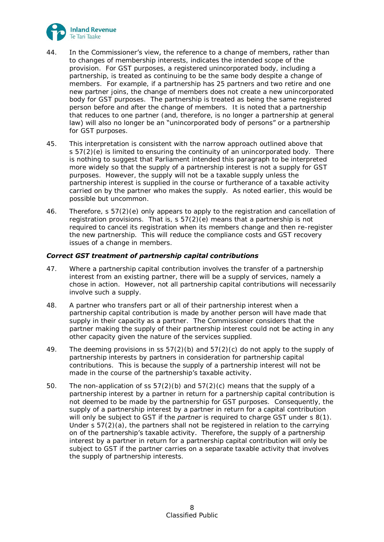

- 44. In the Commissioner's view, the reference to a change of members, rather than to changes of membership interests, indicates the intended scope of the provision. For GST purposes, a registered unincorporated body, including a partnership, is treated as continuing to be the same body despite a change of members. For example, if a partnership has 25 partners and two retire and one new partner joins, the change of members does not create a new unincorporated body for GST purposes. The partnership is treated as being the same registered person before and after the change of members. It is noted that a partnership that reduces to one partner (and, therefore, is no longer a partnership at general law) will also no longer be an "unincorporated body of persons" or a partnership for GST purposes.
- 45. This interpretation is consistent with the narrow approach outlined above that  $s 57(2)(e)$  is limited to ensuring the continuity of an unincorporated body. There is nothing to suggest that Parliament intended this paragraph to be interpreted more widely so that the supply of a partnership interest is not a supply for GST purposes. However, the supply will not be a taxable supply unless the partnership interest is supplied in the course or furtherance of a taxable activity carried on by the partner who makes the supply. As noted earlier, this would be possible but uncommon.
- 46. Therefore, s 57(2)(e) only appears to apply to the registration and cancellation of registration provisions. That is, s 57(2)(e) means that a partnership is not required to cancel its registration when its members change and then re-register the new partnership. This will reduce the compliance costs and GST recovery issues of a change in members.

# *Correct GST treatment of partnership capital contributions*

- 47. Where a partnership capital contribution involves the transfer of a partnership interest from an existing partner, there will be a supply of services, namely a chose in action. However, not all partnership capital contributions will necessarily involve such a supply.
- 48. A partner who transfers part or all of their partnership interest when a partnership capital contribution is made by another person will have made that supply in their capacity as a partner. The Commissioner considers that the partner making the supply of their partnership interest could not be acting in any other capacity given the nature of the services supplied.
- 49. The deeming provisions in ss  $57(2)(b)$  and  $57(2)(c)$  do not apply to the supply of partnership interests by partners in consideration for partnership capital contributions. This is because the supply of a partnership interest will not be made in the course of the partnership's taxable activity.
- 50. The non-application of ss 57(2)(b) and 57(2)(c) means that the supply of a partnership interest by a partner in return for a partnership capital contribution is not deemed to be made by the partnership for GST purposes. Consequently, the supply of a partnership interest by a partner in return for a capital contribution will only be subject to GST if the *partner* is required to charge GST under s 8(1). Under s 57(2)(a), the partners shall not be registered in relation to the carrying on of the partnership's taxable activity. Therefore, the supply of a partnership interest by a partner in return for a partnership capital contribution will only be subject to GST if the partner carries on a separate taxable activity that involves the supply of partnership interests.